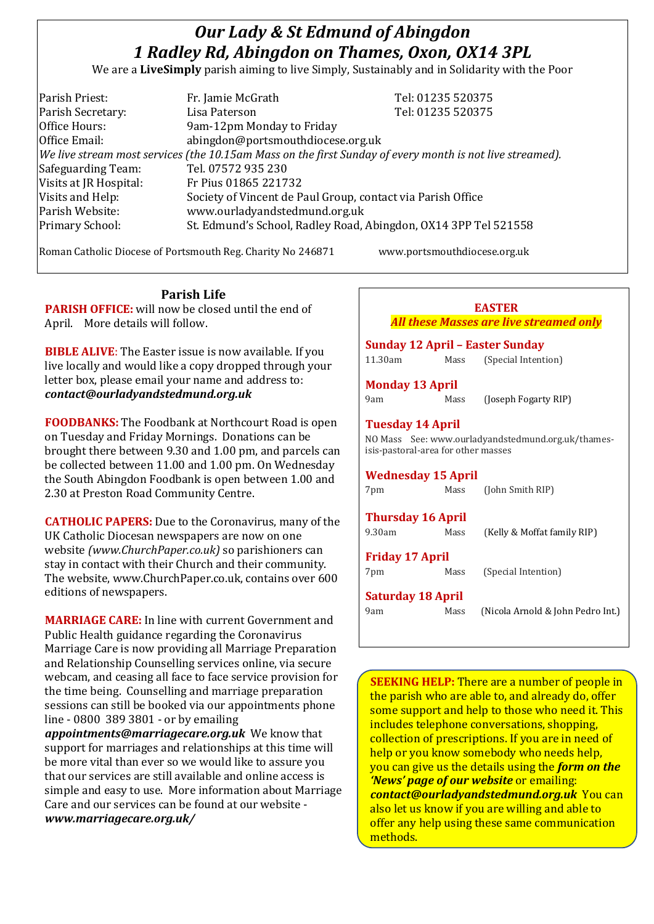# *Our Lady & St Edmund of Abingdon 1 Radley Rd, Abingdon on Thames, Oxon, OX14 3PL*

We are a **LiveSimply** parish aiming to live Simply, Sustainably and in Solidarity with the Poor

| Parish Priest:         | Fr. Jamie McGrath                                                                                            | Tel: 01235 520375 |
|------------------------|--------------------------------------------------------------------------------------------------------------|-------------------|
| Parish Secretary:      | Lisa Paterson                                                                                                | Tel: 01235 520375 |
| Office Hours:          | 9am-12pm Monday to Friday                                                                                    |                   |
| Office Email:          | abingdon@portsmouthdiocese.org.uk                                                                            |                   |
|                        | $ $ We live stream most services (the 10.15am Mass on the first Sunday of every month is not live streamed). |                   |
| Safeguarding Team:     | Tel. 07572 935 230                                                                                           |                   |
| Visits at JR Hospital: | Fr Pius 01865 221732                                                                                         |                   |
| Visits and Help:       | Society of Vincent de Paul Group, contact via Parish Office                                                  |                   |
| Parish Website:        | www.ourladyandstedmund.org.uk                                                                                |                   |
| Primary School:        | St. Edmund's School, Radley Road, Abingdon, OX14 3PP Tel 521558                                              |                   |
|                        |                                                                                                              |                   |

Roman Catholic Diocese of Portsmouth Reg. Charity No 246871 www.portsmouthdiocese.org.uk

#### **Parish Life PARISH OFFICE:** will now be closed until the end of April. More details will follow.

**BIBLE ALIVE**: The Easter issue is now available. If you live locally and would like a copy dropped through your letter box, please email your name and address to: *contact@ourladyandstedmund.org.uk*

**FOODBANKS:** The Foodbank at Northcourt Road is open on Tuesday and Friday Mornings. Donations can be brought there between 9.30 and 1.00 pm, and parcels can be collected between 11.00 and 1.00 pm. On Wednesday the South Abingdon Foodbank is open between 1.00 and 2.30 at Preston Road Community Centre.

**CATHOLIC PAPERS:** Due to the Coronavirus, many of the UK Catholic Diocesan newspapers are now on one website *(www.ChurchPaper.co.uk)* so parishioners can stay in contact with their Church and their community. The website, www.ChurchPaper.co.uk, contains over 600 editions of newspapers.

**MARRIAGE CARE:** In line with current Government and Public Health guidance regarding the Coronavirus Marriage Care is now providing all Marriage Preparation and Relationship Counselling services online, via secure webcam, and ceasing all face to face service provision for the time being. Counselling and marriage preparation sessions can still be booked via our appointments phone line - 0800 389 3801 - or by emailing

*appointments@marriagecare.org.uk* We know that support for marriages and relationships at this time will be more vital than ever so we would like to assure you that our services are still available and online access is simple and easy to use. More information about Marriage Care and our services can be found at our website *www.marriagecare.org.uk/*

## **EASTER**

*All these Masses are live streamed only*

|                                                                |      | Sunday 12 April – Easter Sunday                    |
|----------------------------------------------------------------|------|----------------------------------------------------|
| 11.30am                                                        | Mass | (Special Intention)                                |
| <b>Monday 13 April</b>                                         |      |                                                    |
| 9am                                                            | Mass | (Joseph Fogarty RIP)                               |
| <b>Tuesday 14 April</b><br>isis-pastoral-area for other masses |      | NO Mass See: www.ourladyandstedmund.org.uk/thames- |
| <b>Wednesday 15 April</b>                                      |      |                                                    |
| 7pm                                                            | Mass | (John Smith RIP)                                   |
| <b>Thursday 16 April</b>                                       |      |                                                    |
| 9.30am                                                         | Mass | (Kelly & Moffat family RIP)                        |
| Friday 17 April                                                |      |                                                    |
| 7pm                                                            | Mass | (Special Intention)                                |
| <b>Saturday 18 April</b>                                       |      |                                                    |
| 9am                                                            | Mass | (Nicola Arnold & John Pedro Int.)                  |
|                                                                |      |                                                    |

**SEEKING HELP:** There are a number of people in the parish who are able to, and already do, offer some support and help to those who need it. This includes telephone conversations, shopping, collection of prescriptions. If you are in need of help or you know somebody who needs help, you can give us the details using the *form on the 'News' page of our website* or emailing: *contact@ourladyandstedmund.org.uk* You can also let us know if you are willing and able to offer any help using these same communication methods.